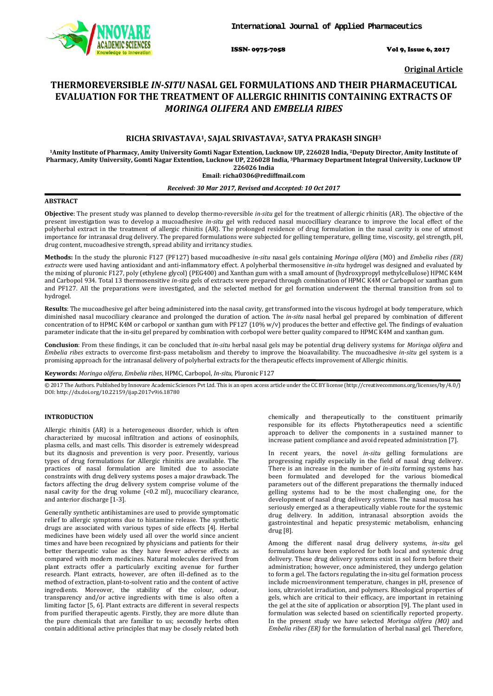

ISSN- 0975-7058 Vol 9, Issue 6, 2017

**Original Article**

# **THERMOREVERSIBLE** *IN-SITU* **NASAL GEL FORMULATIONS AND THEIR PHARMACEUTICAL EVALUATION FOR THE TREATMENT OF ALLERGIC RHINITIS CONTAINING EXTRACTS OF**  *MORINGA OLIFERA* **AND** *EMBELIA RIBES*

## **RICHA SRIVASTAVA1, SAJAL SRIVASTAVA2, SATYA PRAKASH SINGH3**

**1Amity Institute of Pharmacy, Amity University Gomti Nagar Extention, Lucknow UP, 226028 India, 2Deputy Director, Amity Institute of Pharmacy, Amity University, Gomti Nagar Extention, Lucknow UP, 226028 India, 3Pharmacy Department Integral University, Lucknow UP 226026 India**

## **Email**: **richa0306@rediffmail.com**

## *Received: 30 Mar 2017, Revised and Accepted: 10 Oct 2017*

## **ABSTRACT**

**Objective**: The present study was planned to develop thermo-reversible *in-situ* gel for the treatment of allergic rhinitis (AR). The objective of the present investigation was to develop a mucoadhesive *in-situ* gel with reduced nasal mucocilliary clearance to improve the local effect of the polyherbal extract in the treatment of allergic rhinitis (AR). The prolonged residence of drug formulation in the nasal cavity is one of utmost importance for intranasal drug delivery. The prepared formulations were subjected for gelling temperature, gelling time, viscosity, gel strength, pH, drug content, mucoadhesive strength, spread ability and irritancy studies.

**Methods:** In the study the pluronic F127 (PF127) based mucoadhesive *in-situ* nasal gels containing *Moringa olifera* (MO) and *Embelia ribes (ER) extracts* were used having antioxidant and anti-inflammatory effect. A polyherbal thermosensitive *in-situ* hydrogel was designed and evaluated by the mixing of pluronic F127, poly (ethylene glycol) (PEG400) and Xanthan gum with a small amount of (hydroxypropyl methylcellulose) HPMC K4M and Carbopol 934. Total 13 thermosensitive *in-situ* gels of extracts were prepared through combination of HPMC K4M or Carbopol or xanthan gum and PF127. All the preparations were investigated, and the selected method for gel formation underwent the thermal transition from sol to hydrogel.

**Results**: The mucoadhesive gel after being administered into the nasal cavity, get transformed into the viscous hydrogel at body temperature, which diminished nasal mucociliary clearance and prolonged the duration of action. The *in-situ* nasal herbal gel prepared by combination of different concentration of to HPMC K4M or carbopol or xanthan gum with PF127 (10%  $w/v$ ) produces the better and effective gel. The findings of evaluation parameter indicate that the in-situ gel prepared by combination with corbopol were better quality compared to HPMC K4M and xanthan gum.

**Conclusion**: From these findings, it can be concluded that *in-situ* herbal nasal gels may be potential drug delivery systems for *Moringa olifera* and *Embelia ribes* extracts to overcome first-pass metabolism and thereby to improve the bioavailability. The mucoadhesive *in-situ* gel system is a promising approach for the intranasal delivery of polyherbal extracts for the therapeutic effects improvement of Allergic rhinitis.

**Keywords:** *Moringa olifera*, *Embelia ribes*, HPMC, Carbopol, *In-situ*, Pluronic F127

 $\overline{Q}$  2017 The Authors. Published by Innovare Academic Sciences Pvt Ltd. This is an open access article under the CC BY license [\(http://creativecommons.org/licenses/by/4.0/\)](http://creativecommons.org/licenses/by/4.0/) DOI: http://dx.doi.org/10.22159/ijap.2017v9i6.18780

## **INTRODUCTION**

Allergic rhinitis (AR) is a heterogeneous disorder, which is often characterized by mucosal infiltration and actions of eosinophils, plasma cells, and mast cells. This disorder is extremely widespread but its diagnosis and prevention is very poor. Presently, various types of drug formulations for Allergic rhinitis are available. The practices of nasal formulation are limited due to associate constraints with drug delivery systems poses a major drawback. The factors affecting the drug delivery system comprise volume of the nasal cavity for the drug volume (<0.2 ml), mucociliary clearance, and anterior discharge [1-3].

Generally synthetic antihistamines are used to provide symptomatic relief to allergic symptoms due to histamine release. The synthetic drugs are associated with various types of side effects [4]. Herbal medicines have been widely used all over the world since ancient times and have been recognized by physicians and patients for their better therapeutic value as they have fewer adverse effects as compared with modern medicines. Natural molecules derived from plant extracts offer a particularly exciting avenue for further research. Plant extracts, however, are often ill-defined as to the method of extraction, plant-to-solvent ratio and the content of active ingredients. Moreover, the stability of the colour, odour, transparency and/or active ingredients with time is also often a limiting factor [5, 6]. Plant extracts are different in several respects from purified therapeutic agents. Firstly, they are more dilute than the pure chemicals that are familiar to us; secondly herbs often contain additional active principles that may be closely related both

chemically and therapeutically to the constituent primarily responsible for its effects. Phytotherapeutics need a scientific approach to deliver the components in a sustained manner to increase patient compliance and avoid repeated administration [7].

In recent years, the novel *in-situ* gelling formulations are progressing rapidly especially in the field of nasal drug delivery. There is an increase in the number of *in-situ* forming systems has been formulated and developed for the various biomedical parameters out of the different preparations the thermally induced gelling systems had to be the most challenging one, for the development of nasal drug delivery systems. The nasal mucosa has seriously emerged as a therapeutically viable route for the systemic drug delivery. In addition, intranasal absorption avoids the gastrointestinal and hepatic presystemic metabolism, enhancing drug [8].

Among the different nasal drug delivery systems, *in-situ* gel formulations have been explored for both local and systemic drug delivery. These drug delivery systems exist in sol form before their administration; however, once administered, they undergo gelation to form a gel. The factors regulating the in-situ gel formation process include microenvironment temperature, changes in pH, presence of ions, ultraviolet irradiation, and polymers. Rheological properties of gels, which are critical to their efficacy, are important in retaining the gel at the site of application or absorption [9]. The plant used in formulation was selected based on scientifically reported property. In the present study we have selected *Moringa olifera (MO)* and *Embelia ribes (ER)* for the formulation of herbal nasal gel. Therefore,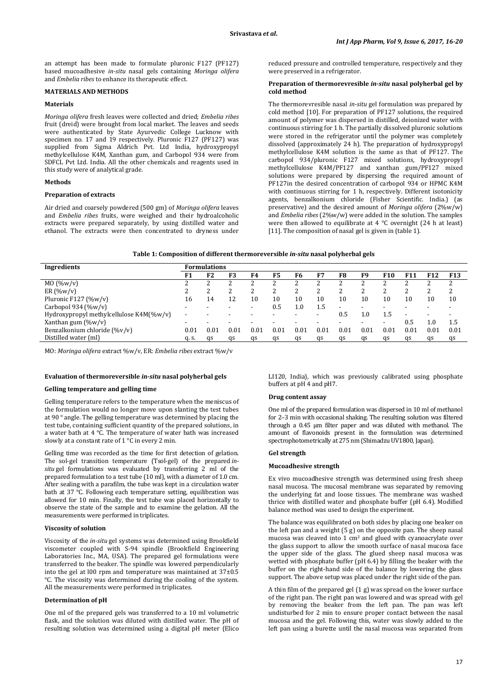an attempt has been made to formulate pluronic F127 (PF127) based mucoadhesive *in-situ* nasal gels containing *Moringa olifera* and *Embelia ribes* to enhance its therapeutic effect.

## **MATERIALS AND METHODS**

### **Materials**

*Moringa olifera* fresh leaves were collected and dried; *Embelia ribes* fruit (dreid) were brought from local market. The leaves and seeds were authenticated by State Ayurvedic College Lucknow with specimen no. 17 and 19 respectively. Pluronic F127 (PF127) was supplied from Sigma Aldrich Pvt. Ltd India, hydroxypropyl methylcellulose K4M, Xanthan gum, and Carbopol 934 were from SDFCL Pvt Ltd. India. All the other chemicals and reagents used in this study were of analytical grade.

#### **Methods**

#### **Preparation of extracts**

Air dried and coarsely powdered (500 gm) of *Moringa olifera* leaves and *Embelia ribes* fruits, were weighed and their hydroalcoholic extracts were prepared separately, by using distilled water and ethanol. The extracts were then concentrated to dryness under reduced pressure and controlled temperature, respectively and they were preserved in a refrigerator.

#### **Preparation of thermorevresible** *in-situ* **nasal polyherbal gel by cold method**

The thermorevresible nasal *in-situ* gel formulation was prepared by cold method [10]. For preparation of PF127 solutions, the required amount of polymer was dispersed in distilled, deionized water with continuous stirring for 1 h. The partially dissolved pluronic solutions were stored in the refrigerator until the polymer was completely dissolved (approximately 24 h). The preparation of hydroxypropyl methylcellulose K4M solution is the same as that of PF127. The carbopol 934/pluronic F127 mixed solutions, hydroxypropyl methylcellulose K4M/PF127 and xanthan gum/PF127 mixed solutions were prepared by dispersing the required amount of PF127in the desired concentration of carbopol 934 or HPMC K4M with continuous stirring for 1 h, respectively. Different isotonicity agents, benzalkonium chloride (Fisher Scientific. India.) (as preservative) and the desired amount of *Moringa olifera* (2%w/w) and *Embelia ribes* (2%w/w) were added in the solution. The samples were then allowed to equilibrate at 4 °C overnight (24 h at least) [11]. The composition of nasal gel is given in (table 1).

| Table 1: Composition of different thermoreversible <i>in-situ</i> nasal polyherbal gels |  |  |
|-----------------------------------------------------------------------------------------|--|--|
|-----------------------------------------------------------------------------------------|--|--|

| Ingredients                             | Formulations |                |      |      |      |         |      |                          |      |      |      |        |            |
|-----------------------------------------|--------------|----------------|------|------|------|---------|------|--------------------------|------|------|------|--------|------------|
|                                         | F1           | F <sub>2</sub> | F3   | F4   | F5   | F6      | F7   | F8                       | F9   | F10  | F11  | F12    | <b>F13</b> |
| MO (%w/v)                               |              |                |      |      |      |         |      |                          |      |      |      |        |            |
| ER $(\%w/v)$                            |              |                |      |      |      |         |      |                          |      | ∠    |      | າ<br>∼ | າ          |
| Pluronic F127 $(\%w/v)$                 | 16           | 14             | 12   | 10   | 10   | 10      | 10   | 10                       | 10   | 10   | 10   | 10     | 10         |
| Carbopol 934 (%w/v)                     |              |                |      |      | 0.5  | $1.0\,$ | 1.5  | $\overline{\phantom{0}}$ | -    |      |      |        |            |
| Hydroxypropyl methylcellulose K4M(%w/v) |              |                |      |      |      |         |      | 0.5                      | 1.0  | 1.5  | -    |        |            |
| Xanthan gum $(\%w/v)$                   |              |                |      |      |      |         |      |                          |      |      | 0.5  |        | 1.5        |
| Benzalkonium chloride (%v/v)            | 0.01         | 0.01           | 0.01 | 0.01 | 0.01 | 0.01    | 0.01 | 0.01                     | 0.01 | 0.01 | 0.01 | 0.01   | 0.01       |
| Distilled water (ml)                    | q. s.        | as             | qs   | as   | as   | as      | as   | as                       | as   | as   | as   | qs     | qs         |
|                                         |              |                |      |      |      |         |      |                          |      |      |      |        |            |

MO: *Moringa olifera* extract %w/v, ER: *Embelia ribes* extract %w/v

## **Evaluation of thermoreversible** *in-situ* **nasal polyherbal gels**

#### **Gelling temperature and gelling time**

Gelling temperature refers to the temperature when the meniscus of the formulation would no longer move upon slanting the test tubes at 90 ° angle. The gelling temperature was determined by placing the test tube, containing sufficient quantity of the prepared solutions, in a water bath at 4 °C. The temperature of water bath was increased slowly at a constant rate of 1 °C in every 2 min.

Gelling time was recorded as the time for first detection of gelation. The sol-gel transition temperature (Tsol-gel) of the prepared *insitu* gel formulations was evaluated by transferring 2 ml of the prepared formulation to a test tube (10 ml), with a diameter of 1.0 cm. After sealing with a parafilm, the tube was kept in a circulation water bath at 37 °C. Following each temperature setting, equilibration was allowed for 10 min. Finally, the test tube was placed horizontally to observe the state of the sample and to examine the gelation. All the measurements were performed in triplicates.

#### **Viscosity of solution**

Viscosity of the *in-situ* gel systems was determined using Brookfield viscometer coupled with S-94 spindle (Brookfield Engineering Laboratories Inc., MA, USA). The prepared gel formulations were transferred to the beaker. The spindle was lowered perpendicularly into the gel at l00 rpm and temperature was maintained at 37±0.5 °C. The viscosity was determined during the cooling of the system. All the measurements were performed in triplicates.

### **Determination of pH**

One ml of the prepared gels was transferred to a 10 ml volumetric flask, and the solution was diluted with distilled water. The pH of resulting solution was determined using a digital pH meter (Elico

LI120, India), which was previously calibrated using phosphate buffers at pH 4 and pH7.

#### **Drug content assay**

One ml of the prepared formulation was dispersed in 10 ml of methanol for 2–3 min with occasional shaking. The resulting solution was filtered through a 0.45 µm filter paper and was diluted with methanol. The amount of flavonoids present in the formulation was determined spectrophotometrically at 275 nm (Shimadzu UV1800, Japan).

#### **Gel strength**

#### **Mucoadhesive strength**

Ex vivo mucoadhesive strength was determined using fresh sheep nasal mucosa. The mucosal membrane was separated by removing the underlying fat and loose tissues. The membrane was washed thrice with distilled water and phosphate buffer (pH 6.4). Modified balance method was used to design the experiment.

The balance was equilibrated on both sides by placing one beaker on the left pan and a weight (5 g) on the opposite pan. The sheep nasal mucosa was cleaved into  $1 \text{ cm}^2$  and glued with cyanoacrylate over the glass support to allow the smooth surface of nasal mucosa face the upper side of the glass. The glued sheep nasal mucosa was wetted with phosphate buffer (pH 6.4) by filling the beaker with the buffer on the right-hand side of the balance by lowering the glass support. The above setup was placed under the right side of the pan.

A thin film of the prepared gel (1 g) was spread on the lower surface of the right pan. The right pan was lowered and was spread with gel by removing the beaker from the left pan. The pan was left undisturbed for 2 min to ensure proper contact between the nasal mucosa and the gel. Following this, water was slowly added to the left pan using a burette until the nasal mucosa was separated from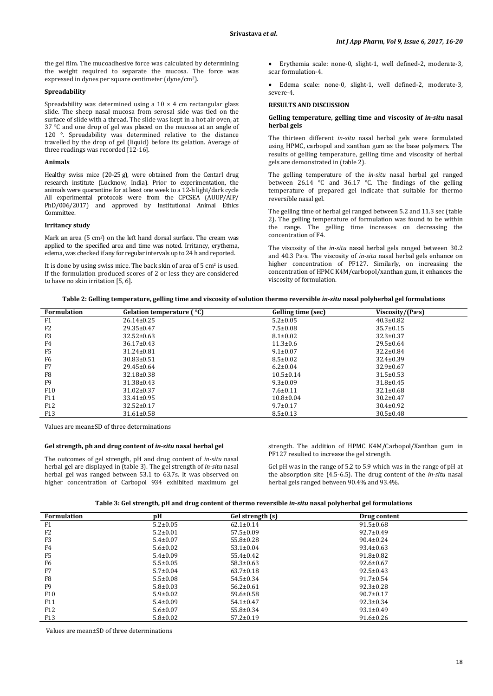the gel film. The mucoadhesive force was calculated by determining the weight required to separate the mucosa. The force was expressed in dynes per square centimeter (dyne/cm2).

#### **Spreadability**

Spreadability was determined using a  $10 \times 4$  cm rectangular glass slide. The sheep nasal mucosa from serosal side was tied on the surface of slide with a thread. The slide was kept in a hot air oven, at 37 °C and one drop of gel was placed on the mucosa at an angle of 120 °. Spreadability was determined relative to the distance travelled by the drop of gel (liquid) before its gelation. Average of three readings was recorded [12-16].

#### **Animals**

Healthy swiss mice (20-25 g), were obtained from the Centarl drug research institute (Lucknow, India). Prior to experimentation, the animals were quarantine for at least one week to a 12-h light/dark cycle All experimental protocols were from the CPCSEA (AUUP/AIP/ PhD/006/2017) and approved by Institutional Animal Ethics Committee.

#### **Irritancy study**

Mark an area (5 cm2 ) on the left hand dorsal surface. The cream was applied to the specified area and time was noted. Irritancy, erythema, edema, was checked if any for regular intervals up to 24 h and reported.

It is done by using swiss mice. The back skin of area of  $5 \text{ cm}^2$  is used. If the formulation produced scores of 2 or less they are considered to have no skin irritation [5, 6].

• Erythemia scale: none-0, slight-1, well defined-2, moderate-3, scar formulation-4.

Edema scale: none-0, slight-1, well defined-2, moderate-3, severe-4.

#### **RESULTS AND DISCUSSION**

#### **Gelling temperature, gelling time and viscosity of** *in-situ* **nasal herbal gels**

The thirteen different *in-situ* nasal herbal gels were formulated using HPMC, carbopol and xanthan gum as the base polymers. The results of gelling temperature, gelling time and viscosity of herbal gels are demonstrated in (table 2).

The gelling temperature of the *in-situ* nasal herbal gel ranged between 26.14 °C and 36.17 °C. The findings of the gelling temperature of prepared gel indicate that suitable for thermo reversible nasal gel.

The gelling time of herbal gel ranged between 5.2 and 11.3 sec (table 2). The gelling temperature of formulation was found to be within the range. The gelling time increases on decreasing the concentration of F4.

The viscosity of the *in-situ* nasal herbal gels ranged between 30.2 and 40.3 Pa·s. The viscosity of *in-situ* nasal herbal gels enhance on higher concentration of PF127. Similarly, on increasing the concentration of HPMC K4M/carbopol/xanthan gum, it enhances the viscosity of formulation.

| Table 2: Gelling temperature, gelling time and viscosity of solution thermo reversible in-situ nasal polyherbal gel formulations |  |  |
|----------------------------------------------------------------------------------------------------------------------------------|--|--|
|                                                                                                                                  |  |  |

| <b>Formulation</b> | Gelation temperature ( °C) | Gelling time (sec) | Viscosity/(Pa·s) |
|--------------------|----------------------------|--------------------|------------------|
| F1                 | $26.14 \pm 0.25$           | $5.2 \pm 0.05$     | $40.3 \pm 0.82$  |
| F <sub>2</sub>     | $29.35 \pm 0.47$           | $7.5 \pm 0.08$     | $35.7 \pm 0.15$  |
| F <sub>3</sub>     | $32.52 \pm 0.63$           | $8.1 \pm 0.02$     | $32.3 \pm 0.37$  |
| F4                 | $36.17 \pm 0.43$           | $11.3 \pm 0.6$     | $29.5 \pm 0.64$  |
| F <sub>5</sub>     | $31.24 \pm 0.81$           | $9.1 \pm 0.07$     | $32.2 \pm 0.84$  |
| F <sub>6</sub>     | $30.83 \pm 0.51$           | $8.5 \pm 0.02$     | $32.4 \pm 0.39$  |
| F7                 | $29.45 \pm 0.64$           | $6.2 \pm 0.04$     | $32.9 \pm 0.67$  |
| F <sub>8</sub>     | $32.18 \pm 0.38$           | $10.5 \pm 0.14$    | $31.5 \pm 0.53$  |
| F <sub>9</sub>     | $31.38 \pm 0.43$           | $9.3 \pm 0.09$     | $31.8 \pm 0.45$  |
| F <sub>10</sub>    | $31.02 \pm 0.37$           | $7.6 \pm 0.11$     | $32.1 \pm 0.68$  |
| F11                | $33.41 \pm 0.95$           | $10.8 \pm 0.04$    | $30.2 \pm 0.47$  |
| F <sub>12</sub>    | $32.52 \pm 0.17$           | $9.7 \pm 0.17$     | $30.4 \pm 0.92$  |
| F <sub>13</sub>    | $31.61 \pm 0.58$           | $8.5 \pm 0.13$     | $30.5 \pm 0.48$  |

Values are mean±SD of three determinations

#### **Gel strength, ph and drug content of** *in-situ* **nasal herbal gel**

The outcomes of gel strength, pH and drug content of *in-situ* nasal herbal gel are displayed in (table 3). The gel strength of *in-situ* nasal herbal gel was ranged between 53.1 to 63.7s. It was observed on higher concentration of Carbopol 934 exhibited maximum gel

strength. The addition of HPMC K4M/Carbopol/Xanthan gum in PF127 resulted to increase the gel strength.

Gel pH was in the range of 5.2 to 5.9 which was in the range of pH at the absorption site (4.5-6.5). The drug content of the *in-situ* nasal herbal gels ranged between 90.4% and 93.4%.

**Table 3: Gel strength, pH and drug content of thermo reversible** *in-situ* **nasal polyherbal gel formulations**

| <b>Formulation</b> | pН             | Gel strength (s) | Drug content    |  |
|--------------------|----------------|------------------|-----------------|--|
| F <sub>1</sub>     | $5.2 \pm 0.05$ | $62.1 \pm 0.14$  | $91.5 \pm 0.68$ |  |
| F <sub>2</sub>     | $5.2 \pm 0.01$ | $57.5 \pm 0.09$  | $92.7 \pm 0.49$ |  |
| F <sub>3</sub>     | $5.4 \pm 0.07$ | $55.8 \pm 0.28$  | $90.4 \pm 0.24$ |  |
| F4                 | $5.6 \pm 0.02$ | $53.1 \pm 0.04$  | $93.4 \pm 0.63$ |  |
| F <sub>5</sub>     | $5.4 \pm 0.09$ | $55.4 \pm 0.42$  | $91.8 \pm 0.82$ |  |
| F <sub>6</sub>     | $5.5 \pm 0.05$ | $58.3 \pm 0.63$  | $92.6 \pm 0.67$ |  |
| F7                 | $5.7 \pm 0.04$ | $63.7 \pm 0.18$  | $92.5 \pm 0.43$ |  |
| F <sub>8</sub>     | $5.5 \pm 0.08$ | $54.5 \pm 0.34$  | $91.7 \pm 0.54$ |  |
| F <sub>9</sub>     | $5.8 \pm 0.03$ | $56.2 \pm 0.61$  | $92.3 \pm 0.28$ |  |
| F <sub>10</sub>    | $5.9 \pm 0.02$ | $59.6 \pm 0.58$  | $90.7 \pm 0.17$ |  |
| F11                | $5.4 \pm 0.09$ | $54.1 \pm 0.47$  | $92.3 \pm 0.34$ |  |
| F <sub>12</sub>    | $5.6 \pm 0.07$ | $55.8 \pm 0.34$  | $93.1 \pm 0.49$ |  |
| F13                | $5.8 \pm 0.02$ | $57.2 \pm 0.19$  | $91.6 \pm 0.26$ |  |

Values are mean±SD of three determinations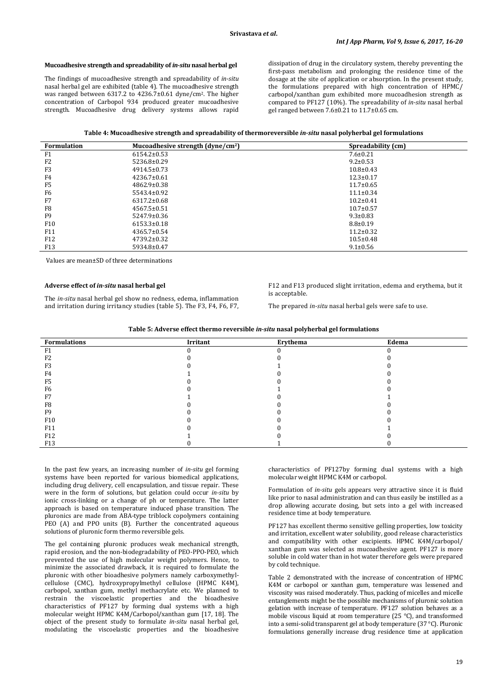#### **Mucoadhesive strength and spreadability of** *in-situ* **nasal herbal gel**

The findings of mucoadhesive strength and spreadability of *in-situ* nasal herbal gel are exhibited (table 4). The mucoadhesive strength was ranged between 6317.2 to 4236.7±0.61 dyne/cm2. The higher concentration of Carbopol 934 produced greater mucoadhesive strength. Mucoadhesive drug delivery systems allows rapid

dissipation of drug in the circulatory system, thereby preventing the first-pass metabolism and prolonging the residence time of the dosage at the site of application or absorption. In the present study, the formulations prepared with high concentration of HPMC/ carbopol/xanthan gum exhibited more mucoadhesion strength as compared to PF127 (10%). The spreadability of *in-situ* nasal herbal gel ranged between 7.6±0.21 to 11.7±0.65 cm.

| <b>Formulation</b> | Mucoadhesive strength $(dyne/cm2)$ | Spreadability (cm) |
|--------------------|------------------------------------|--------------------|
| F <sub>1</sub>     | $6154.2 \pm 0.53$                  | $7.6 \pm 0.21$     |
| F <sub>2</sub>     | 5236.8±0.29                        | $9.2 \pm 0.53$     |
| F <sub>3</sub>     | $4914.5 \pm 0.73$                  | $10.8 \pm 0.43$    |
| F <sub>4</sub>     | $4236.7 \pm 0.61$                  | $12.3 \pm 0.17$    |
| F <sub>5</sub>     | $4862.9 \pm 0.38$                  | $11.7 \pm 0.65$    |
| F <sub>6</sub>     | $5543.4 \pm 0.92$                  | $11.1 \pm 0.34$    |
| F7                 | $6317.2 \pm 0.68$                  | $10.2 \pm 0.41$    |
| F <sub>8</sub>     | 4567.5±0.51                        | $10.7 \pm 0.57$    |
| F <sub>9</sub>     | $5247.9 \pm 0.36$                  | $9.3 \pm 0.83$     |
| F <sub>10</sub>    | $6153.3 \pm 0.18$                  | $8.8 \pm 0.19$     |
| F11                | $4365.7 \pm 0.54$                  | $11.2 \pm 0.32$    |
| F <sub>12</sub>    | $4739.2 \pm 0.32$                  | $10.5 \pm 0.48$    |
| F <sub>13</sub>    | 5934.8±0.47                        | $9.1 \pm 0.56$     |

Values are mean±SD of three determinations

## **Adverse effect of** *in-situ* **nasal herbal gel**

The *in-situ* nasal herbal gel show no redness, edema, inflammation and irritation during irritancy studies (table 5). The F3, F4, F6, F7,

F12 and F13 produced slight irritation, edema and erythema, but it is acceptable.

The prepared *in-situ* nasal herbal gels were safe to use.

| Table 5: Adverse effect thermo reversible in-situ nasal polyherbal gel formulations |  |  |
|-------------------------------------------------------------------------------------|--|--|
|-------------------------------------------------------------------------------------|--|--|

| Formulations    | Irritant | Erythema | Edema |
|-----------------|----------|----------|-------|
| F <sub>1</sub>  |          |          |       |
| F <sub>2</sub>  |          |          |       |
| F3              |          |          |       |
| F4              |          |          |       |
| F5              |          |          |       |
| F6              |          |          |       |
| F7              |          |          |       |
| F8              |          |          |       |
| F <sub>9</sub>  |          |          |       |
| F10             |          |          |       |
| F11             |          |          |       |
| F12             |          |          |       |
| F <sub>13</sub> |          |          |       |

In the past few years, an increasing number of *in-situ* gel forming systems have been reported for various biomedical applications, including drug delivery, cell encapsulation, and tissue repair. These were in the form of solutions, but gelation could occur *in-situ* by ionic cross-linking or a change of ph or temperature. The latter approach is based on temperature induced phase transition. The pluronics are made from ABA-type triblock copolymers containing PEO (A) and PPO units (B). Further the concentrated aqueous solutions of pluronic form thermo reversible gels.

The gel containing pluronic produces weak mechanical strength, rapid erosion, and the non-biodegradability of PEO-PPO-PEO, which prevented the use of high molecular weight polymers. Hence, to minimize the associated drawback, it is required to formulate the pluronic with other bioadhesive polymers namely carboxymethylcellulose (CMC), hydroxypropylmethyl cellulose (HPMC K4M), carbopol, xanthan gum, methyl methacrylate etc. We planned to restrain the viscoelastic properties and the bioadhesive characteristics of PF127 by forming dual systems with a high molecular weight HPMC K4M/Carbopol/xanthan gum [17, 18]. The object of the present study to formulate *in-situ* nasal herbal gel, modulating the viscoelastic properties and the bioadhesive characteristics of PF127by forming dual systems with a high molecular weight HPMC K4M or carbopol.

Formulation of *in-situ* gels appears very attractive since it is fluid like prior to nasal administration and can thus easily be instilled as a drop allowing accurate dosing, but sets into a gel with increased residence time at body temperature.

PF127 has excellent thermo sensitive gelling properties, low toxicity and irritation, excellent water solubility, good release characteristics and compatibility with other excipients. HPMC K4M/carbopol/ xanthan gum was selected as mucoadhesive agent. PF127 is more soluble in cold water than in hot water therefore gels were prepared by cold technique.

Table 2 demonstrated with the increase of concentration of HPMC K4M or carbopol or xanthan gum, temperature was lessened and viscosity was raised moderately. Thus, packing of micelles and micelle entanglements might be the possible mechanisms of pluronic solution gelation with increase of temperature. PF127 solution behaves as a mobile viscous liquid at room temperature (25 °C), and transformed into a semi-solid transparent gel at body temperature (37 °C). Pluronic formulations generally increase drug residence time at application